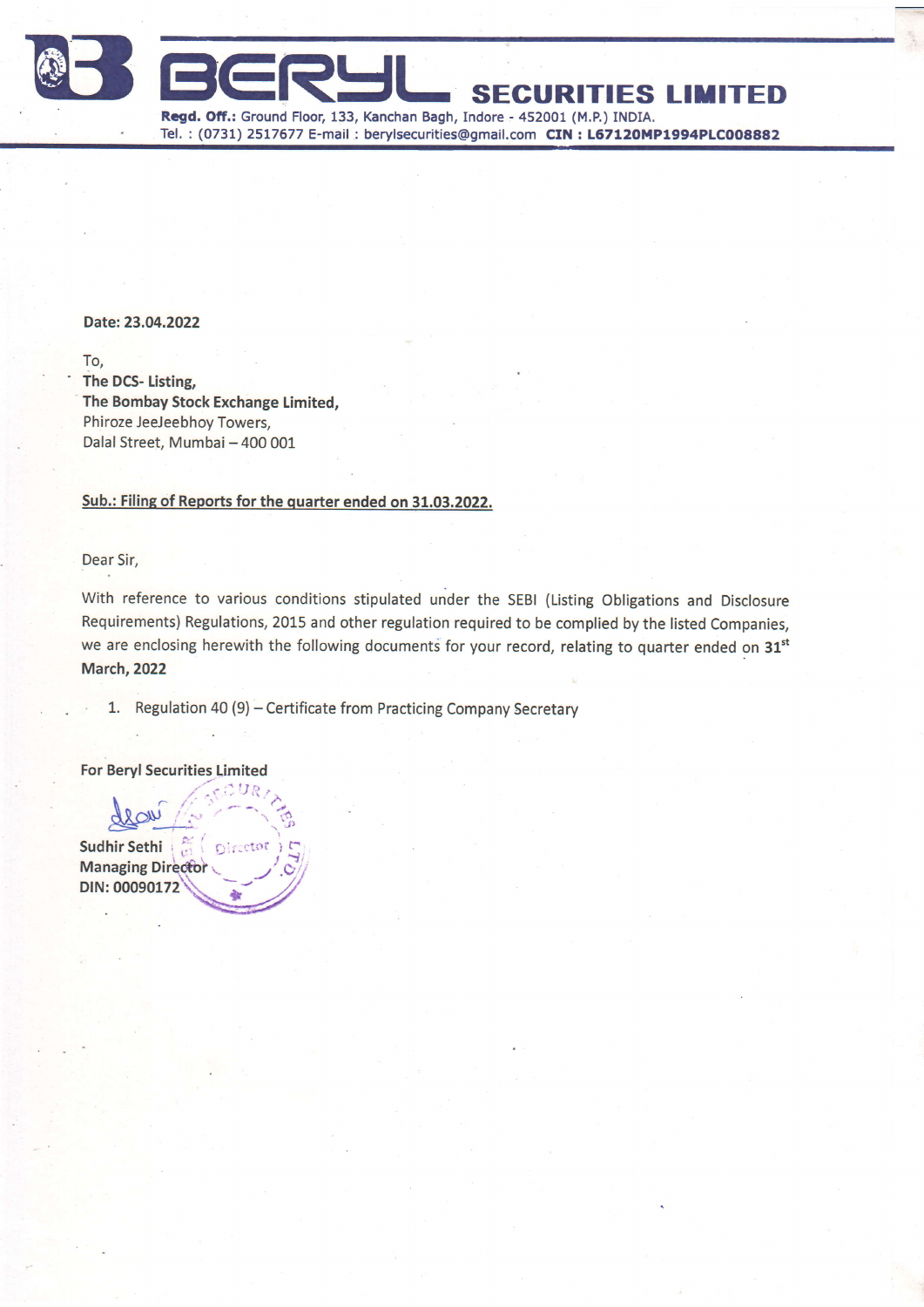

Date: 23.04.2022

To,<br>The DCS- Listing, The Bombay Stock Exchange Limited, Phiroze JeeJeebhoy Towers, Dalal Street, Mumbai - 400 001

#### Sub.: Filing of Reports for the quarter ended on 31.03.2022.

Dear Sir,

With reference to various conditions stipulated under the SEBI (Listing Obligations and Disclosure Requirements) Regulations, 2015 and other regulation required to be complied by the listed Companies, we are enclosing herewith the following documents for your record, relating to quarter ended on 31<sup>st</sup> **March, 2022** 

1. Regulation 40 (9) - Certificate from Practicing Company Secretary

For Beryl Securities Limited

 $\frac{1}{\approx}$  $\sim$   $\sim$ Sudhir Sethi **Managing Directo**  $\Gamma$ recto DIN: 00090172 \*

 $h_{\text{out}}$  (sequently)